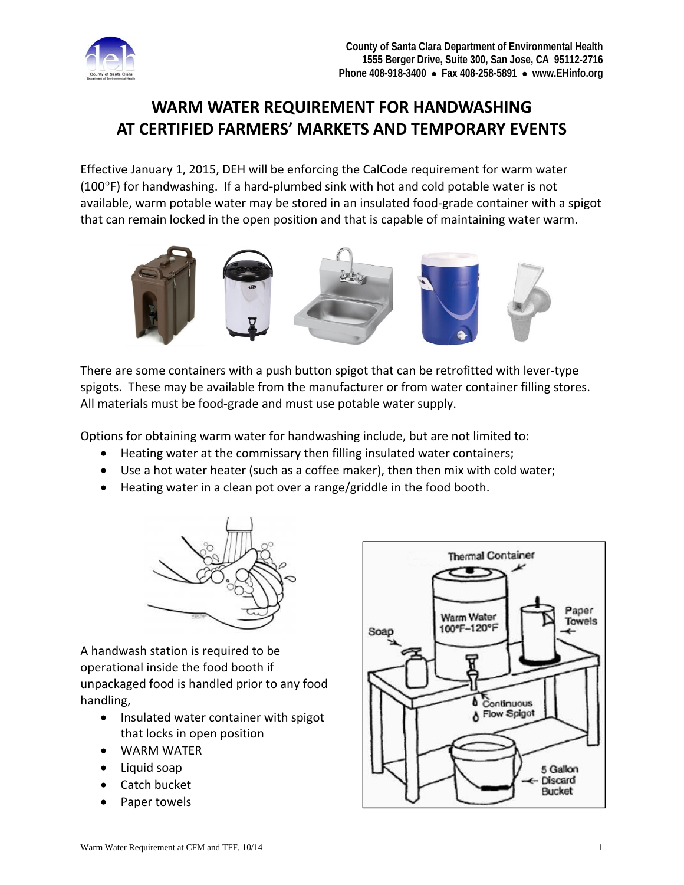

## **WARM WATER REQUIREMENT FOR HANDWASHING AT CERTIFIED FARMERS' MARKETS AND TEMPORARY EVENTS**

Effective January 1, 2015, DEH will be enforcing the CalCode requirement for warm water  $(100^{\circ}F)$  for handwashing. If a hard-plumbed sink with hot and cold potable water is not available, warm potable water may be stored in an insulated food‐grade container with a spigot that can remain locked in the open position and that is capable of maintaining water warm.



There are some containers with a push button spigot that can be retrofitted with lever‐type spigots. These may be available from the manufacturer or from water container filling stores. All materials must be food‐grade and must use potable water supply.

Options for obtaining warm water for handwashing include, but are not limited to:

- Heating water at the commissary then filling insulated water containers;
- Use a hot water heater (such as a coffee maker), then then mix with cold water;
- Heating water in a clean pot over a range/griddle in the food booth.



A handwash station is required to be operational inside the food booth if unpackaged food is handled prior to any food handling,

- Insulated water container with spigot that locks in open position
- WARM WATER
- Liquid soap
- Catch bucket
- Paper towels